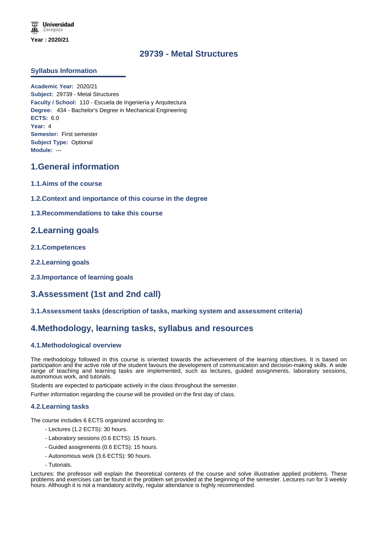# **29739 - Metal Structures**

### **Syllabus Information**

**Academic Year:** 2020/21 **Subject:** 29739 - Metal Structures **Faculty / School:** 110 - Escuela de Ingeniería y Arquitectura **Degree:** 434 - Bachelor's Degree in Mechanical Engineering **ECTS:** 6.0 **Year:** 4 **Semester:** First semester **Subject Type:** Optional **Module:** ---

### **1.General information**

- **1.1.Aims of the course**
- **1.2.Context and importance of this course in the degree**
- **1.3.Recommendations to take this course**

# **2.Learning goals**

- **2.1.Competences**
- **2.2.Learning goals**
- **2.3.Importance of learning goals**

# **3.Assessment (1st and 2nd call)**

**3.1.Assessment tasks (description of tasks, marking system and assessment criteria)**

# **4.Methodology, learning tasks, syllabus and resources**

### **4.1.Methodological overview**

The methodology followed in this course is oriented towards the achievement of the learning objectives. It is based on participation and the active role of the student favours the development of communication and decision-making skills. A wide range of teaching and learning tasks are implemented, such as lectures, guided assignments, laboratory sessions, autonomous work, and tutorials.

Students are expected to participate actively in the class throughout the semester.

Further information regarding the course will be provided on the first day of class.

### **4.2.Learning tasks**

The course includes 6 ECTS organized according to:

- Lectures (1.2 ECTS): 30 hours.
- Laboratory sessions (0.6 ECTS): 15 hours.
- Guided assignments (0.6 ECTS): 15 hours.
- Autonomous work (3.6 ECTS): 90 hours.
- Tutorials.

Lectures: the professor will explain the theoretical contents of the course and solve illustrative applied problems. These problems and exercises can be found in the problem set provided at the beginning of the semester. Lectures run for 3 weekly hours. Although it is not a mandatory activity, regular attendance is highly recommended.